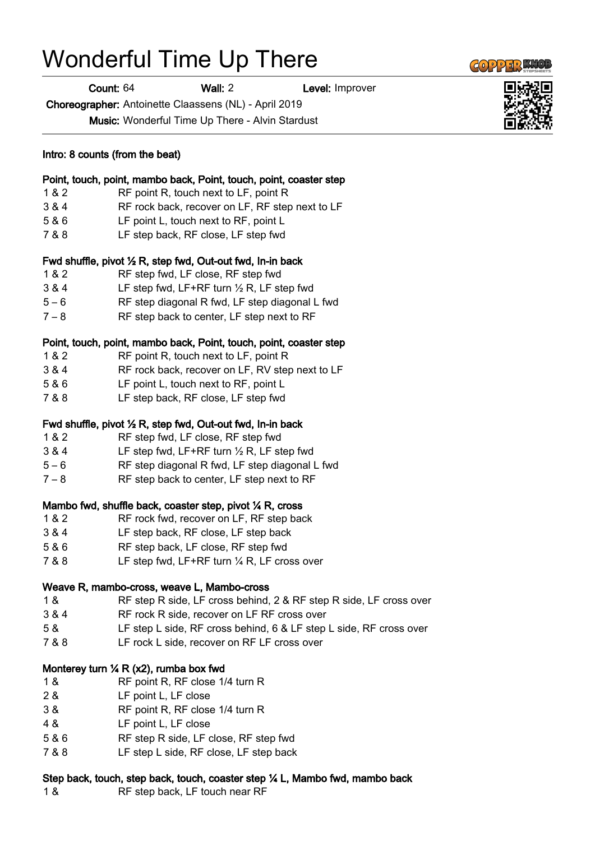## Wonderful Time Up There

Count: 64 Wall: 2 Level: Improver

Choreographer: Antoinette Claassens (NL) - April 2019

Music: Wonderful Time Up There - Alvin Stardust

| Intro: 8 counts (from the beat)<br>Point, touch, point, mambo back, Point, touch, point, coaster step |                                                                               |
|-------------------------------------------------------------------------------------------------------|-------------------------------------------------------------------------------|
|                                                                                                       |                                                                               |
| 3 & 4                                                                                                 | RF rock back, recover on LF, RF step next to LF                               |
| 5 & 6                                                                                                 | LF point L, touch next to RF, point L                                         |
| 7 & 8                                                                                                 | LF step back, RF close, LF step fwd                                           |
|                                                                                                       | Fwd shuffle, pivot 1/2 R, step fwd, Out-out fwd, In-in back                   |
| 1 & 2                                                                                                 | RF step fwd, LF close, RF step fwd                                            |
| 3 & 4                                                                                                 | LF step fwd, LF+RF turn $\frac{1}{2}$ R, LF step fwd                          |
| $5 - 6$                                                                                               | RF step diagonal R fwd, LF step diagonal L fwd                                |
| $7 - 8$                                                                                               | RF step back to center, LF step next to RF                                    |
|                                                                                                       | Point, touch, point, mambo back, Point, touch, point, coaster step            |
| 1 & 2                                                                                                 | RF point R, touch next to LF, point R                                         |
| 3 & 4                                                                                                 |                                                                               |
|                                                                                                       | RF rock back, recover on LF, RV step next to LF                               |
| 5 & 6                                                                                                 | LF point L, touch next to RF, point L                                         |
| 7 & 8                                                                                                 | LF step back, RF close, LF step fwd                                           |
|                                                                                                       | Fwd shuffle, pivot 1/2 R, step fwd, Out-out fwd, In-in back                   |
| 1 & 2                                                                                                 | RF step fwd, LF close, RF step fwd                                            |
| 3&4                                                                                                   | LF step fwd, LF+RF turn $\frac{1}{2}$ R, LF step fwd                          |
| $5 - 6$                                                                                               | RF step diagonal R fwd, LF step diagonal L fwd                                |
| $7 - 8$                                                                                               | RF step back to center, LF step next to RF                                    |
|                                                                                                       | Mambo fwd, shuffle back, coaster step, pivot 1/4 R, cross                     |
| 1 & 2                                                                                                 | RF rock fwd, recover on LF, RF step back                                      |
| 3 & 4                                                                                                 | LF step back, RF close, LF step back                                          |
| 5 & 6                                                                                                 | RF step back, LF close, RF step fwd                                           |
| 7 & 8                                                                                                 | LF step fwd, LF+RF turn $\frac{1}{4}$ R, LF cross over                        |
|                                                                                                       | Weave R, mambo-cross, weave L, Mambo-cross                                    |
| 1 &                                                                                                   | RF step R side, LF cross behind, 2 & RF step R side, LF cross over            |
| 3 & 4                                                                                                 | RF rock R side, recover on LF RF cross over                                   |
| 5 &                                                                                                   | LF step L side, RF cross behind, 6 & LF step L side, RF cross over            |
| 7 & 8                                                                                                 | LF rock L side, recover on RF LF cross over                                   |
|                                                                                                       | Monterey turn $\frac{1}{4}$ R (x2), rumba box fwd                             |
| 1 &                                                                                                   | RF point R, RF close 1/4 turn R                                               |
| 2 &                                                                                                   | LF point L, LF close                                                          |
| 3 &                                                                                                   | RF point R, RF close 1/4 turn R                                               |
|                                                                                                       |                                                                               |
| 4 &                                                                                                   | LF point L, LF close                                                          |
| 5 & 6                                                                                                 | RF step R side, LF close, RF step fwd                                         |
| 7 & 8                                                                                                 | LF step L side, RF close, LF step back                                        |
|                                                                                                       | Step back, touch, step back, touch, coaster step 1/4 L, Mambo fwd, mambo back |
| 1 &                                                                                                   | RF step back, LF touch near RF                                                |